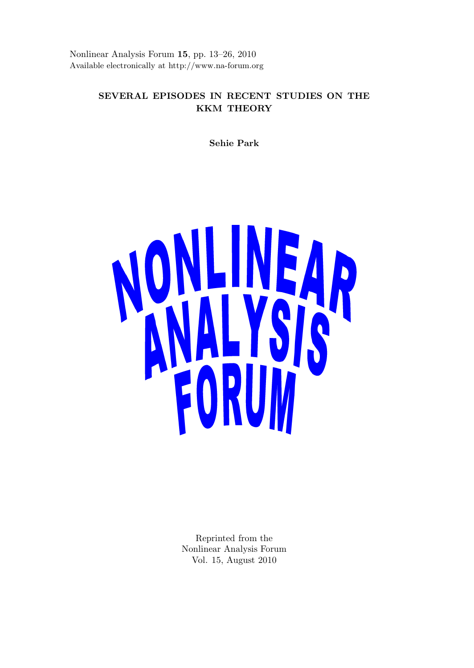Nonlinear Analysis Forum **15**, pp. 13–26, 2010 Available electronically at http://www.na-forum.org

# **SEVERAL EPISODES IN RECENT STUDIES ON THE KKM THEORY**

**Sehie Park**



Reprinted from the Nonlinear Analysis Forum Vol. 15, August 2010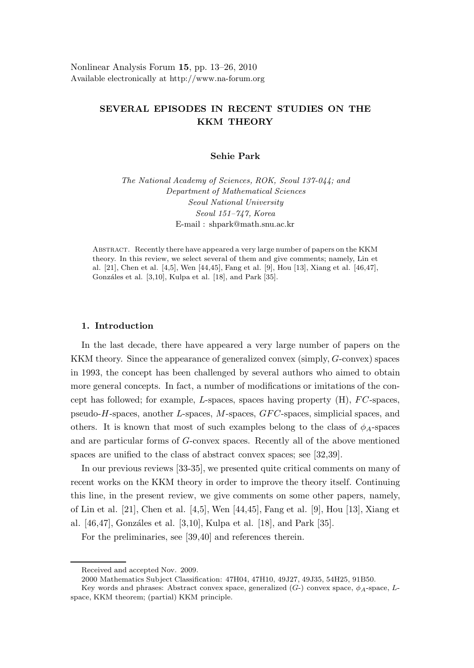# **SEVERAL EPISODES IN RECENT STUDIES ON THE KKM THEORY**

# **Sehie Park**

*The National Academy of Sciences, ROK, Seoul 137-044; and Department of Mathematical Sciences Seoul National University Seoul 151–747, Korea* E-mail : shpark@math.snu.ac.kr

Abstract. Recently there have appeared a very large number of papers on the KKM theory. In this review, we select several of them and give comments; namely, Lin et al. [21], Chen et al. [4,5], Wen [44,45], Fang et al. [9], Hou [13], Xiang et al. [46,47], Gonzáles et al.  $[3,10]$ , Kulpa et al.  $[18]$ , and Park  $[35]$ .

# **1. Introduction**

In the last decade, there have appeared a very large number of papers on the KKM theory. Since the appearance of generalized convex (simply, *G*-convex) spaces in 1993, the concept has been challenged by several authors who aimed to obtain more general concepts. In fact, a number of modifications or imitations of the concept has followed; for example, *L*-spaces, spaces having property (H), *F C*-spaces, pseudo-*H*-spaces, another *L*-spaces, *M*-spaces, *GF C*-spaces, simplicial spaces, and others. It is known that most of such examples belong to the class of  $\phi_A$ -spaces and are particular forms of *G*-convex spaces. Recently all of the above mentioned spaces are unified to the class of abstract convex spaces; see [32,39].

In our previous reviews [33-35], we presented quite critical comments on many of recent works on the KKM theory in order to improve the theory itself. Continuing this line, in the present review, we give comments on some other papers, namely, of Lin et al. [21], Chen et al. [4,5], Wen [44,45], Fang et al. [9], Hou [13], Xiang et al. [46,47], Gonzáles et al. [3,10], Kulpa et al. [18], and Park [35].

For the preliminaries, see [39,40] and references therein.

Received and accepted Nov. 2009.

<sup>2000</sup> Mathematics Subject Classification: 47H04, 47H10, 49J27, 49J35, 54H25, 91B50.

Key words and phrases: Abstract convex space, generalized (G-) convex space, φ*A*-space, Lspace, KKM theorem; (partial) KKM principle.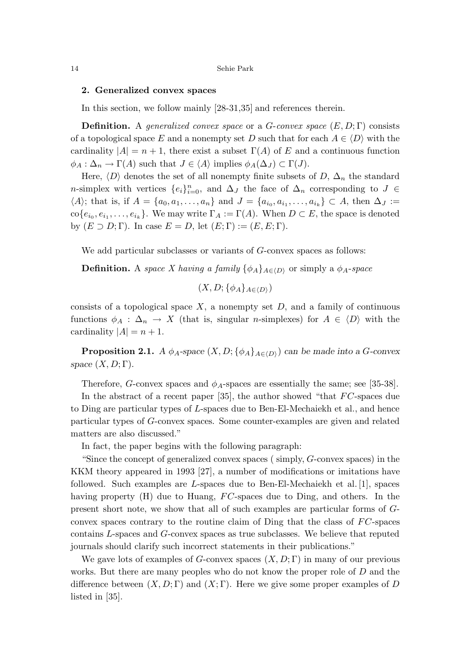### **2. Generalized convex spaces**

In this section, we follow mainly [28-31,35] and references therein.

**Definition.** A generalized convex space or a *G*-convex space  $(E, D; \Gamma)$  consists of a topological space E and a nonempty set D such that for each  $A \in \langle D \rangle$  with the cardinality  $|A| = n + 1$ , there exist a subset  $\Gamma(A)$  of *E* and a continuous function  $\phi_A : \Delta_n \to \Gamma(A)$  such that  $J \in \langle A \rangle$  implies  $\phi_A(\Delta_J) \subset \Gamma(J)$ .

Here,  $\langle D \rangle$  denotes the set of all nonempty finite subsets of *D*,  $\Delta_n$  the standard *n*-simplex with vertices  ${e_i}_{i=0}^n$ , and  $\Delta_J$  the face of  $\Delta_n$  corresponding to  $J \in$  $\langle A \rangle$ ; that is, if  $A = \{a_0, a_1, \ldots, a_n\}$  and  $J = \{a_{i_0}, a_{i_1}, \ldots, a_{i_k}\} \subset A$ , then  $\Delta_J :=$  $\operatorname{co}\{e_{i_0}, e_{i_1}, \ldots, e_{i_k}\}.$  We may write  $\Gamma_A := \Gamma(A)$ . When  $D \subset E$ , the space is denoted by  $(E \supset D; \Gamma)$ . In case  $E = D$ , let  $(E; \Gamma) := (E, E; \Gamma)$ .

We add particular subclasses or variants of *G*-convex spaces as follows:

**Definition.** A space X having a family  $\{\phi_A\}_{A \in \langle D \rangle}$  or simply a  $\phi_A$ -space

 $(X, D; {\phi_A}_{A \in (D)})$ 

consists of a topological space  $X$ , a nonempty set  $D$ , and a family of continuous functions  $\phi_A : \Delta_n \to X$  (that is, singular *n*-simplexes) for  $A \in \langle D \rangle$  with the cardinality  $|A| = n + 1$ .

**Proposition 2.1.** *A*  $\phi_A$ -space  $(X, D; {\phi_A}_{A \in (D)})$  can be made into a *G*-convex *space* (*X, D*; Γ)*.*

Therefore, *G*-convex spaces and  $\phi_A$ -spaces are essentially the same; see [35-38].

In the abstract of a recent paper [35], the author showed "that *FC*-spaces due to Ding are particular types of *L*-spaces due to Ben-El-Mechaiekh et al., and hence particular types of *G*-convex spaces. Some counter-examples are given and related matters are also discussed."

In fact, the paper begins with the following paragraph:

"Since the concept of generalized convex spaces ( simply, *G*-convex spaces) in the KKM theory appeared in 1993 [27], a number of modifications or imitations have followed. Such examples are *L*-spaces due to Ben-El-Mechaiekh et al. [1], spaces having property (H) due to Huang, *FC*-spaces due to Ding, and others. In the present short note, we show that all of such examples are particular forms of *G*convex spaces contrary to the routine claim of Ding that the class of *F C*-spaces contains *L*-spaces and *G*-convex spaces as true subclasses. We believe that reputed journals should clarify such incorrect statements in their publications."

We gave lots of examples of *G*-convex spaces (*X, D*; Γ) in many of our previous works. But there are many peoples who do not know the proper role of *D* and the difference between  $(X, D; \Gamma)$  and  $(X; \Gamma)$ . Here we give some proper examples of *D* listed in [35].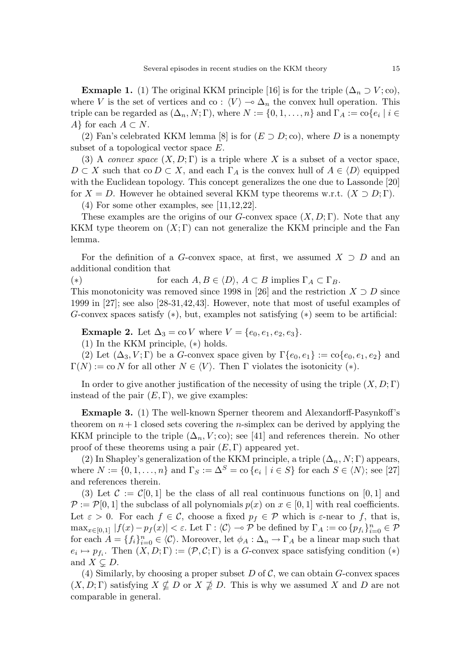**Exmaple 1.** (1) The original KKM principle [16] is for the triple  $(\Delta_n \supset V; \text{co})$ , where *V* is the set of vertices and co :  $\langle V \rangle \rightarrow \Delta_n$  the convex hull operation. This triple can be regarded as  $(\Delta_n, N; \Gamma)$ , where  $N := \{0, 1, \ldots, n\}$  and  $\Gamma_A := \text{co}\{e_i \mid i \in$ *A*<sup>}</sup> for each  $A \subset N$ .

(2) Fan's celebrated KKM lemma [8] is for  $(E \supset D; \text{co})$ , where *D* is a nonempty subset of a topological vector space *E*.

(3) A convex space  $(X, D; \Gamma)$  is a triple where X is a subset of a vector space,  $D \subset X$  such that co  $D \subset X$ , and each  $\Gamma_A$  is the convex hull of  $A \in \langle D \rangle$  equipped with the Euclidean topology. This concept generalizes the one due to Lassonde [20] for  $X = D$ . However he obtained several KKM type theorems w.r.t.  $(X \supset D; \Gamma)$ .

(4) For some other examples, see [11,12,22].

These examples are the origins of our *G*-convex space (*X, D*; Γ). Note that any KKM type theorem on  $(X;\Gamma)$  can not generalize the KKM principle and the Fan lemma.

For the definition of a *G*-convex space, at first, we assumed *X ⊃ D* and an additional condition that

(\*) for each  $A, B \in \langle D \rangle$ ,  $A \subset B$  implies  $\Gamma_A \subset \Gamma_B$ .

This monotonicity was removed since 1998 in [26] and the restriction  $X \supset D$  since 1999 in [27]; see also [28-31,42,43]. However, note that most of useful examples of *G*-convex spaces satisfy (*∗*), but, examples not satisfying (*∗*) seem to be artificial:

**Exmaple 2.** Let  $\Delta_3 = \text{co } V$  where  $V = \{e_0, e_1, e_2, e_3\}.$ 

(1) In the KKM principle, (*∗*) holds.

(2) Let  $(\Delta_3, V; \Gamma)$  be a *G*-convex space given by  $\Gamma\{e_0, e_1\} := \text{co}\{e_0, e_1, e_2\}$  and  $\Gamma(N) := \text{co } N$  for all other  $N \in \langle V \rangle$ . Then  $\Gamma$  violates the isotonicity (\*).

In order to give another justification of the necessity of using the triple  $(X, D; \Gamma)$ instead of the pair  $(E, \Gamma)$ , we give examples:

**Exmaple 3.** (1) The well-known Sperner theorem and Alexandorff-Pasynkoff's theorem on  $n+1$  closed sets covering the *n*-simplex can be derived by applying the KKM principle to the triple  $(\Delta_n, V; \text{co})$ ; see [41] and references therein. No other proof of these theorems using a pair (*E,* Γ) appeared yet.

(2) In Shapley's generalization of the KKM principle, a triple  $(\Delta_n, N; \Gamma)$  appears, where  $N := \{0, 1, ..., n\}$  and  $\Gamma_S := \Delta^S = \text{co}\{e_i \mid i \in S\}$  for each  $S \in \langle N \rangle$ ; see [27] and references therein.

(3) Let  $\mathcal{C} := \mathcal{C}[0,1]$  be the class of all real continuous functions on [0, 1] and  $P := \mathcal{P}[0, 1]$  the subclass of all polynomials  $p(x)$  on  $x \in [0, 1]$  with real coefficients. Let  $\varepsilon > 0$ . For each  $f \in \mathcal{C}$ , choose a fixed  $p_f \in \mathcal{P}$  which is  $\varepsilon$ -near to f, that is,  $\max_{x \in [0,1]} |f(x) - p_f(x)| < \varepsilon$ . Let  $\Gamma : \langle \mathcal{C} \rangle \to \mathcal{P}$  be defined by  $\Gamma_A := \text{co} \{p_{f_i}\}_{i=0}^n \in \mathcal{P}$ for each  $A = \{f_i\}_{i=0}^n \in \langle \mathcal{C} \rangle$ . Moreover, let  $\phi_A : \Delta_n \to \Gamma_A$  be a linear map such that  $e_i \mapsto p_{f_i}$ . Then  $(X, D; \Gamma) := (\mathcal{P}, \mathcal{C}; \Gamma)$  is a *G*-convex space satisfying condition (\*) and  $X \subseteq D$ .

(4) Similarly, by choosing a proper subset  $D$  of  $\mathcal{C}$ , we can obtain  $G$ -convex spaces  $(X, D; \Gamma)$  satisfying  $X \nsubseteq D$  or  $X \nsubseteq D$ . This is why we assumed X and D are not comparable in general.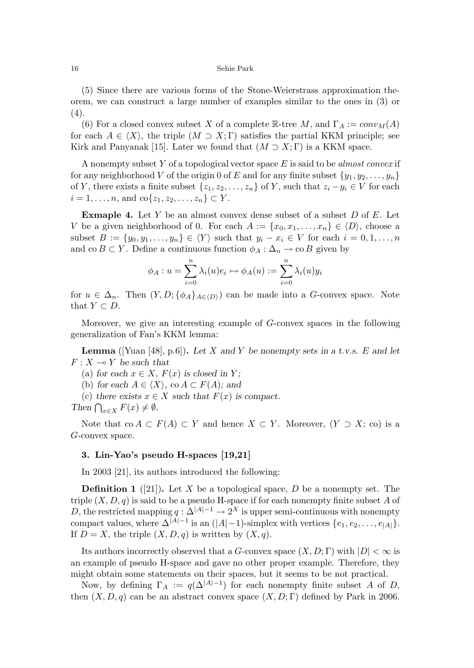(5) Since there are various forms of the Stone-Weierstrass approximation theorem, we can construct a large number of examples similar to the ones in (3) or (4).

(6) For a closed convex subset *X* of a complete  $\mathbb{R}$ -tree *M*, and  $\Gamma_A := conv_M(A)$ for each  $A \in \langle X \rangle$ , the triple  $(M \supset X; \Gamma)$  satisfies the partial KKM principle; see Kirk and Panyanak [15]. Later we found that  $(M \supset X; \Gamma)$  is a KKM space.

A nonempty subset *Y* of a topological vector space *E* is said to be almost convex if for any neighborhood *V* of the origin 0 of *E* and for any finite subset  $\{y_1, y_2, \ldots, y_n\}$ of *Y*, there exists a finite subset  $\{z_1, z_2, \ldots, z_n\}$  of *Y*, such that  $z_i - y_i \in V$  for each  $i = 1, \ldots, n$ , and  $\text{co}\{z_1, z_2, \ldots, z_n\} \subset Y$ .

**Exmaple 4.** Let *Y* be an almost convex dense subset of a subset *D* of *E*. Let *V* be a given neighborhood of 0. For each  $A := \{x_0, x_1, \ldots, x_n\} \in \langle D \rangle$ , choose a subset  $B := \{y_0, y_1, \ldots, y_n\} \in \langle Y \rangle$  such that  $y_i - x_i \in V$  for each  $i = 0, 1, \ldots, n$ and co  $B \subset Y$ . Define a continuous function  $\phi_A : \Delta_n \to \infty$  *B* given by

$$
\phi_A: u = \sum_{i=0}^n \lambda_i(u)e_i \mapsto \phi_A(u) := \sum_{i=0}^n \lambda_i(u)y_i
$$

for  $u \in \Delta_n$ . Then  $(Y, D; {\phi_A}_{A \in (D)})$  can be made into a *G*-convex space. Note that  $Y \subset D$ .

Moreover, we give an interesting example of *G*-convex spaces in the following generalization of Fan's KKM lemma:

**Lemma** ([Yuan [48], p.6]). Let *X* and *Y* be nonempty sets in a t.v.s. *E* and let  $F: X \longrightarrow Y$  *be such that* 

(a) for each  $x \in X$ ,  $F(x)$  is closed in Y;

(b) *for each*  $A \in \langle X \rangle$ , co  $A \subset F(A)$ ; and

(c) there exists  $x \in X$  such that  $F(x)$  is compact.

 $\text{Then } \bigcap_{x \in X} F(x) \neq \emptyset.$ 

Note that  $\text{co } A \subset F(A) \subset Y$  and hence  $X \subset Y$ . Moreover,  $(Y \supset X; \text{co})$  is a *G*-convex space.

### **3. Lin-Yao's pseudo H-spaces [19,21]**

In 2003 [21], its authors introduced the following:

**Definition 1** ([21])**.** Let *X* be a topological space, *D* be a nonempty set. The triple (*X, D, q*) is said to be a pseudo H-space if for each nonempty finite subset *A* of *D*, the restricted mapping *q* :  $\hat{\Delta}^{|A|-1} \rightarrow 2^X$  is upper semi-continuous with nonempty compact values, where  $\Delta^{|A|-1}$  is an  $(|A|-1)$ -simplex with vertices  $\{e_1, e_2, \ldots, e_{|A|}\}.$ If  $D = X$ , the triple  $(X, D, q)$  is written by  $(X, q)$ .

Its authors incorrectly observed that a *G*-convex space  $(X, D; \Gamma)$  with  $|D| < \infty$  is an example of pseudo H-space and gave no other proper example. Therefore, they might obtain some statements on their spaces, but it seems to be not practical.

Now, by defining  $\Gamma_A := q(\Delta^{|A|-1})$  for each nonempty finite subset *A* of *D*, then  $(X, D, q)$  can be an abstract convex space  $(X, D; \Gamma)$  defined by Park in 2006.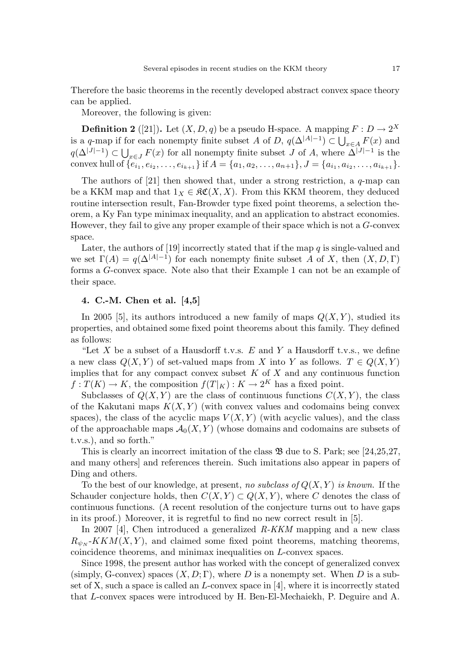Therefore the basic theorems in the recently developed abstract convex space theory can be applied.

Moreover, the following is given:

**Definition 2** ([21]). Let  $(X, D, q)$  be a pseudo H-space. A mapping  $F : D \to 2^X$ is a *q*-map if for each nonempty finite subset *A* of *D*,  $q(\Delta^{|A|-1}) \subset \bigcup_{x \in A} F(x)$  and  $q(\Delta^{|\overline{J}|-1}) \subset \bigcup_{x \in J} F(x)$  for all nonempty finite subset *J* of *A*, where  $\Delta^{|\overline{J}|-1}$  is the convex hull of  $\{e_{i_1}, e_{i_2}, \ldots, e_{i_{k+1}}\}$  if  $A = \{a_1, a_2, \ldots, a_{n+1}\}, J = \{a_{i_1}, a_{i_2}, \ldots, a_{i_{k+1}}\}.$ 

The authors of [21] then showed that, under a strong restriction, a *q*-map can be a KKM map and that  $1_X \in \mathfrak{RC}(X,X)$ . From this KKM theorem, they deduced routine intersection result, Fan-Browder type fixed point theorems, a selection theorem, a Ky Fan type minimax inequality, and an application to abstract economies. However, they fail to give any proper example of their space which is not a *G*-convex space.

Later, the authors of [19] incorrectly stated that if the map *q* is single-valued and we set  $\Gamma(A) = q(\Delta^{|A|-1})$  for each nonempty finite subset A of X, then  $(X, D, \Gamma)$ forms a *G*-convex space. Note also that their Example 1 can not be an example of their space.

## **4. C.-M. Chen et al. [4,5]**

In 2005 [5], its authors introduced a new family of maps  $Q(X, Y)$ , studied its properties, and obtained some fixed point theorems about this family. They defined as follows:

"Let  $X$  be a subset of a Hausdorff t.v.s.  $E$  and  $Y$  a Hausdorff t.v.s., we define a new class  $Q(X, Y)$  of set-valued maps from X into Y as follows.  $T \in Q(X, Y)$ implies that for any compact convex subset *K* of *X* and any continuous function  $f: T(K) \to K$ , the composition  $f(T|_K): K \to 2^K$  has a fixed point.

Subclasses of  $Q(X, Y)$  are the class of continuous functions  $C(X, Y)$ , the class of the Kakutani maps  $K(X, Y)$  (with convex values and codomains being convex spaces), the class of the acyclic maps  $V(X, Y)$  (with acyclic values), and the class of the approachable maps  $A_0(X, Y)$  (whose domains and codomains are subsets of t.v.s.), and so forth."

This is clearly an incorrect imitation of the class  $\mathfrak{B}$  due to S. Park; see [24,25,27, and many others] and references therein. Such imitations also appear in papers of Ding and others.

To the best of our knowledge, at present, no subclass of *Q*(*X, Y* ) is known. If the Schauder conjecture holds, then  $C(X, Y) \subset Q(X, Y)$ , where *C* denotes the class of continuous functions. (A recent resolution of the conjecture turns out to have gaps in its proof.) Moreover, it is regretful to find no new correct result in [5].

In 2007 [4], Chen introduced a generalized R-KKM mapping and a new class  $R_{\psi_N}$ -*KKM*(*X,Y*), and claimed some fixed point theorems, matching theorems, coincidence theorems, and minimax inequalities on *L*-convex spaces.

Since 1998, the present author has worked with the concept of generalized convex (simply, G-convex) spaces  $(X, D; \Gamma)$ , where *D* is a nonempty set. When *D* is a subset of X, such a space is called an *L*-convex space in [4], where it is incorrectly stated that *L*-convex spaces were introduced by H. Ben-El-Mechaiekh, P. Deguire and A.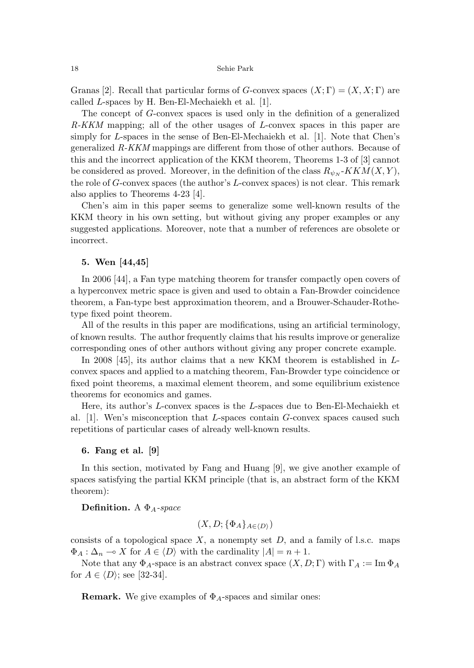Granas [2]. Recall that particular forms of *G*-convex spaces  $(X; \Gamma) = (X, X; \Gamma)$  are called *L*-spaces by H. Ben-El-Mechaiekh et al. [1].

The concept of *G*-convex spaces is used only in the definition of a generalized R-KKM mapping; all of the other usages of *L*-convex spaces in this paper are simply for *L*-spaces in the sense of Ben-El-Mechaiekh et al. [1]. Note that Chen's generalized R-KKM mappings are different from those of other authors. Because of this and the incorrect application of the KKM theorem, Theorems 1-3 of [3] cannot be considered as proved. Moreover, in the definition of the class  $R_{\psi_N}$ - $KKM(X, Y)$ , the role of *G*-convex spaces (the author's *L*-convex spaces) is not clear. This remark also applies to Theorems 4-23 [4].

Chen's aim in this paper seems to generalize some well-known results of the KKM theory in his own setting, but without giving any proper examples or any suggested applications. Moreover, note that a number of references are obsolete or incorrect.

# **5. Wen [44,45]**

In 2006 [44], a Fan type matching theorem for transfer compactly open covers of a hyperconvex metric space is given and used to obtain a Fan-Browder coincidence theorem, a Fan-type best approximation theorem, and a Brouwer-Schauder-Rothetype fixed point theorem.

All of the results in this paper are modifications, using an artificial terminology, of known results. The author frequently claims that his results improve or generalize corresponding ones of other authors without giving any proper concrete example.

In 2008 [45], its author claims that a new KKM theorem is established in *L*convex spaces and applied to a matching theorem, Fan-Browder type coincidence or fixed point theorems, a maximal element theorem, and some equilibrium existence theorems for economics and games.

Here, its author's *L*-convex spaces is the *L*-spaces due to Ben-El-Mechaiekh et al. [1]. Wen's misconception that *L*-spaces contain *G*-convex spaces caused such repetitions of particular cases of already well-known results.

## **6. Fang et al. [9]**

In this section, motivated by Fang and Huang [9], we give another example of spaces satisfying the partial KKM principle (that is, an abstract form of the KKM theorem):

**Definition.** A Φ*A*-space

$$
(X, D; \{\Phi_A\}_{A \in \langle D \rangle})
$$

consists of a topological space  $X$ , a nonempty set  $D$ , and a family of l.s.c. maps  $\Phi_A : \Delta_n \to X$  for  $A \in \langle D \rangle$  with the cardinality  $|A| = n + 1$ .

Note that any  $\Phi_A$ -space is an abstract convex space  $(X, D; \Gamma)$  with  $\Gamma_A := \text{Im } \Phi_A$ for  $A \in \langle D \rangle$ ; see [32-34].

**Remark.** We give examples of Φ*A*-spaces and similar ones: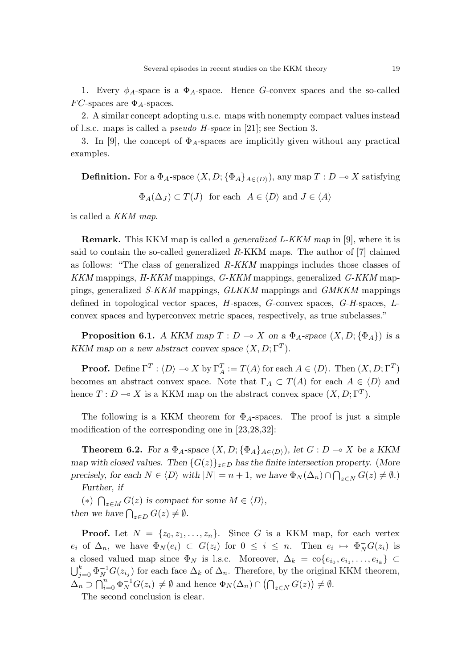1. Every  $\phi_A$ -space is a  $\Phi_A$ -space. Hence *G*-convex spaces and the so-called  $FC$ -spaces are  $\Phi_A$ -spaces.

2. A similar concept adopting u.s.c. maps with nonempty compact values instead of l.s.c. maps is called a pseudo H-space in [21]; see Section 3.

3. In [9], the concept of  $\Phi_A$ -spaces are implicitly given without any practical examples.

**Definition.** For a  $\Phi_A$ -space  $(X, D; {\Phi_A}_{A \in (D)})$ , any map  $T: D \to X$  satisfying

 $\Phi_A(\Delta_J) \subset T(J)$  for each  $A \in \langle D \rangle$  and  $J \in \langle A \rangle$ 

is called a KKM map.

**Remark.** This KKM map is called a *generalized L-KKM map* in [9], where it is said to contain the so-called generalized *R*-KKM maps. The author of [7] claimed as follows: "The class of generalized  $R-KKM$  mappings includes those classes of KKM mappings, H-KKM mappings, G-KKM mappings, generalized G-KKM mappings, generalized S-KKM mappings, GLKKM mappings and GMKKM mappings defined in topological vector spaces, *H*-spaces, *G*-convex spaces, G-H-spaces, *L*convex spaces and hyperconvex metric spaces, respectively, as true subclasses."

**Proposition 6.1.** *A KKM map*  $T: D \to X$  *on a*  $\Phi_A$ *-space*  $(X, D; {\Phi_A})$  *is a KKM* map on a new abstract convex space  $(X, D; \Gamma^T)$ .

**Proof.** Define  $\Gamma^T : \langle D \rangle \to X$  by  $\Gamma_A^T := T(A)$  for each  $A \in \langle D \rangle$ . Then  $(X, D; \Gamma^T)$ becomes an abstract convex space. Note that  $\Gamma_A \subset T(A)$  for each  $A \in \langle D \rangle$  and hence  $T: D \to X$  is a KKM map on the abstract convex space  $(X, D; \Gamma^T)$ .

The following is a KKM theorem for  $\Phi_A$ -spaces. The proof is just a simple modification of the corresponding one in [23,28,32]:

**Theorem 6.2.** For a  $\Phi_A$ -space  $(X, D; {\Phi_A}_{A \in (D)})$ , let  $G: D \to X$  be a KKM *map with closed values. Then*  ${G(z)}_{z \in D}$  *has the finite intersection property.* (*More* precisely, for each  $N \in \langle D \rangle$  with  $|N| = n + 1$ , we have  $\Phi_N(\Delta_n) \cap \bigcap_{z \in N} G(z) \neq \emptyset$ .) *Further, if*

 $(\ast)$   $\bigcap_{z \in M} G(z)$  *is compact for some*  $M \in \langle D \rangle$ *, then we have*  $\bigcap_{z \in D} G(z) \neq \emptyset$ *.* 

**Proof.** Let  $N = \{z_0, z_1, \ldots, z_n\}$ . Since G is a KKM map, for each vertex *e*<sup>*i*</sup> of  $\Delta_n$ , we have  $\Phi_N(e_i) \subset G(z_i)$  for  $0 \leq i \leq n$ . Then  $e_i \mapsto \Phi_N^-(G(z_i))$  is a closed valued map since  $\Phi_N$  is l.s.c. Moreover,  $\Delta_k = \text{co}\{e_{i_0}, e_{i_1}, \ldots, e_{i_k}\} \subset$  $\bigcup_{j=0}^k \Phi_N^{-1} G(z_{i_j})$  for each face  $\Delta_k$  of  $\Delta_n$ . Therefore, by the original KKM theorem,  $\Delta_n \supset \bigcap_{i=0}^n \Phi_N^{-1}G(z_i) \neq \emptyset$  and hence  $\Phi_N(\Delta_n) \cap (\bigcap_{z \in N} G(z)) \neq \emptyset$ .

The second conclusion is clear.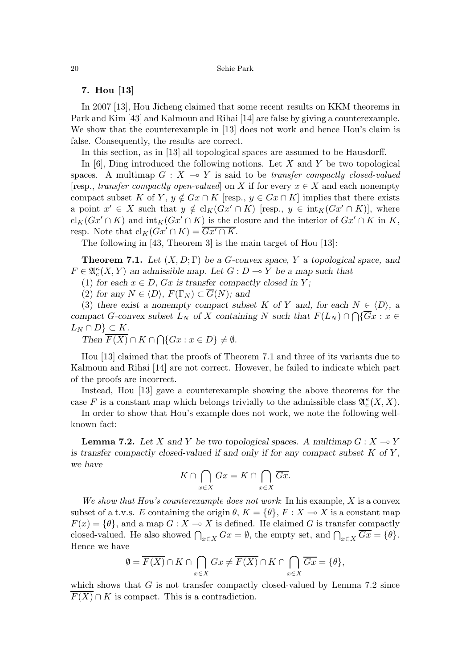# **7. Hou [13]**

In 2007 [13], Hou Jicheng claimed that some recent results on KKM theorems in Park and Kim [43] and Kalmoun and Rihai [14] are false by giving a counterexample. We show that the counterexample in [13] does not work and hence Hou's claim is false. Consequently, the results are correct.

In this section, as in [13] all topological spaces are assumed to be Hausdorff.

In [6], Ding introduced the following notions. Let *X* and *Y* be two topological spaces. A multimap  $G: X \to Y$  is said to be *transfer compactly closed-valued* [resp., *transfer compactly open-valued*] on *X* if for every  $x \in X$  and each nonempty compact subset *K* of *Y*,  $y \notin Gx \cap K$  [resp.,  $y \in Gx \cap K$ ] implies that there exists a point  $x' \in X$  such that  $y \notin cl_K(Gx' \cap K)$  [resp.,  $y \in int_K(Gx' \cap K)$ ], where  $\operatorname{cl}_K(Gx' \cap K)$  and  $\operatorname{int}_K(Gx' \cap K)$  is the closure and the interior of  $Gx' \cap K$  in K, resp. Note that  $cl_K(Gx' \cap K) = \overline{Gx' \cap K}$ .

The following in [43, Theorem 3] is the main target of Hou [13]:

**Theorem 7.1.** *Let* (*X, D*; Γ) *be a G-convex space, Y a topological space, and*  $F \in \mathfrak{A}_{c}^{\kappa}(X, Y)$  *an admissible map. Let*  $G : D \to Y$  *be a map such that* 

(1) for each  $x \in D$ ,  $Gx$  is transfer compactly closed in  $Y$ ;

 $(2)$  *for any*  $N \in \langle D \rangle$ ,  $F(\Gamma_N) \subset \overline{G}(N)$ *; and* 

(3) *there exist a nonempty compact subset K of Y and, for each*  $N \in \langle D \rangle$ *, a compact G*-convex subset  $L_N$  of *X* containing *N* such that  $F(L_N) \cap \bigcap \{G_X : x \in$  $L_N \cap D$   $\subset K$ *.* 

Then 
$$
\overline{F(X)} \cap K \cap \bigcap \{Gx : x \in D\} \neq \emptyset
$$
.

Hou [13] claimed that the proofs of Theorem 7.1 and three of its variants due to Kalmoun and Rihai [14] are not correct. However, he failed to indicate which part of the proofs are incorrect.

Instead, Hou [13] gave a counterexample showing the above theorems for the case *F* is a constant map which belongs trivially to the admissible class  $\mathfrak{A}_{c}^{\kappa}(X, X)$ .

In order to show that Hou's example does not work, we note the following wellknown fact:

**Lemma 7.2.** Let *X* and *Y* be two topological spaces. A multimap  $G: X \to Y$ *is transfer compactly closed-valued if and only if for any compact subset K of Y , we have*

$$
K\cap \bigcap_{x\in X}Gx=K\cap \bigcap_{x\in X}\overline{Gx}.
$$

We show that Hou's counterexample does not work: In his example, *X* is a convex subset of a t.v.s. *E* containing the origin  $\theta$ ,  $K = {\theta}$ ,  $F : X \to X$  is a constant map  $F(x) = \{\theta\}$ , and a map  $G: X \to X$  is defined. He claimed G is transfer compactly closed-valued. He also showed  $\bigcap_{x \in X} Gx = \emptyset$ , the empty set, and  $\bigcap_{x \in X} \overline{Gx} = \{\theta\}.$ Hence we have

$$
\emptyset = \overline{F(X)} \cap K \cap \bigcap_{x \in X} Gx \neq \overline{F(X)} \cap K \cap \bigcap_{x \in X} \overline{Gx} = \{\theta\},\
$$

which shows that  $G$  is not transfer compactly closed-valued by Lemma  $7.2$  since  $\overline{F(X)} \cap K$  is compact. This is a contradiction.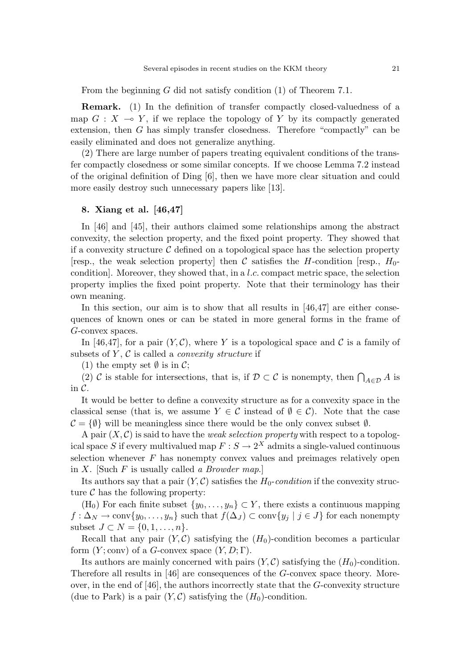From the beginning *G* did not satisfy condition (1) of Theorem 7.1.

**Remark.** (1) In the definition of transfer compactly closed-valuedness of a map  $G: X \multimap Y$ , if we replace the topology of Y by its compactly generated extension, then *G* has simply transfer closedness. Therefore "compactly" can be easily eliminated and does not generalize anything.

(2) There are large number of papers treating equivalent conditions of the transfer compactly closedness or some similar concepts. If we choose Lemma 7.2 instead of the original definition of Ding [6], then we have more clear situation and could more easily destroy such unnecessary papers like [13].

# **8. Xiang et al. [46,47]**

In [46] and [45], their authors claimed some relationships among the abstract convexity, the selection property, and the fixed point property. They showed that if a convexity structure  $\mathcal C$  defined on a topological space has the selection property [resp., the weak selection property] then *C* satisfies the *H*-condition [resp.,  $H_0$ condition]. Moreover, they showed that, in a *l.c.* compact metric space, the selection property implies the fixed point property. Note that their terminology has their own meaning.

In this section, our aim is to show that all results in [46,47] are either consequences of known ones or can be stated in more general forms in the frame of *G*-convex spaces.

In [46,47], for a pair  $(Y, \mathcal{C})$ , where Y is a topological space and  $\mathcal{C}$  is a family of subsets of  $Y$ ,  $C$  is called a *convexity structure* if

(1) the empty set  $\emptyset$  is in  $\mathcal{C}$ ;

(2) *C* is stable for intersections, that is, if  $\mathcal{D} \subset \mathcal{C}$  is nonempty, then  $\bigcap_{A \in \mathcal{D}} A$  is in *C*.

It would be better to define a convexity structure as for a convexity space in the classical sense (that is, we assume  $Y \in \mathcal{C}$  instead of  $\emptyset \in \mathcal{C}$ ). Note that the case  $C = \{\emptyset\}$  will be meaningless since there would be the only convex subset  $\emptyset$ .

A pair  $(X, \mathcal{C})$  is said to have the *weak selection property* with respect to a topological space *S* if every multivalued map  $F : S \to 2^X$  admits a single-valued continuous selection whenever *F* has nonempty convex values and preimages relatively open in *X*. [Such *F* is usually called a Browder map.]

Its authors say that a pair  $(Y, \mathcal{C})$  satisfies the  $H_0$ -condition if the convexity structure  $\mathcal C$  has the following property:

(H<sub>0</sub>) For each finite subset  $\{y_0, \ldots, y_n\} \subset Y$ , there exists a continuous mapping *f* :  $\Delta_N$  → conv $\{y_0, \ldots, y_n\}$  such that  $f(\Delta_J) \subset \text{conv}\{y_j \mid j \in J\}$  for each nonempty subset  $J \subset N = \{0, 1, ..., n\}.$ 

Recall that any pair  $(Y, \mathcal{C})$  satisfying the  $(H_0)$ -condition becomes a particular form  $(Y; \text{conv})$  of a *G*-convex space  $(Y, D; \Gamma)$ .

Its authors are mainly concerned with pairs  $(Y, \mathcal{C})$  satisfying the  $(H_0)$ -condition. Therefore all results in [46] are consequences of the *G*-convex space theory. Moreover, in the end of [46], the authors incorrectly state that the *G*-convexity structure (due to Park) is a pair  $(Y, \mathcal{C})$  satisfying the  $(H_0)$ -condition.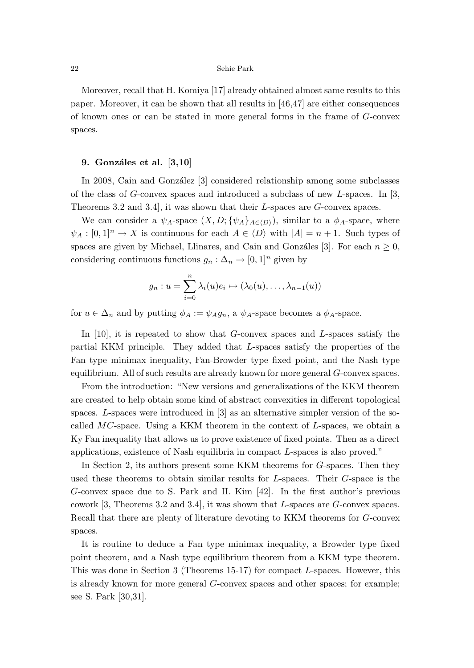Moreover, recall that H. Komiya [17] already obtained almost same results to this paper. Moreover, it can be shown that all results in [46,47] are either consequences of known ones or can be stated in more general forms in the frame of *G*-convex spaces.

## **9. Gonz´ales et al. [3,10]**

In 2008, Cain and González [3] considered relationship among some subclasses of the class of *G*-convex spaces and introduced a subclass of new *L*-spaces. In [3, Theorems 3.2 and 3.4], it was shown that their *L*-spaces are *G*-convex spaces.

We can consider a  $\psi_A$ -space  $(X, D; {\psi_A}_{A \in \langle D \rangle})$ , similar to a  $\phi_A$ -space, where  $\psi_A : [0,1]^n \to X$  is continuous for each  $A \in \langle D \rangle$  with  $|A| = n + 1$ . Such types of spaces are given by Michael, Llinares, and Cain and Gonzáles [3]. For each  $n \geq 0$ , considering continuous functions  $g_n : \Delta_n \to [0,1]^n$  given by

$$
g_n: u = \sum_{i=0}^n \lambda_i(u)e_i \mapsto (\lambda_0(u), \dots, \lambda_{n-1}(u))
$$

for  $u \in \Delta_n$  and by putting  $\phi_A := \psi_A g_n$ , a  $\psi_A$ -space becomes a  $\phi_A$ -space.

In [10], it is repeated to show that *G*-convex spaces and *L*-spaces satisfy the partial KKM principle. They added that *L*-spaces satisfy the properties of the Fan type minimax inequality, Fan-Browder type fixed point, and the Nash type equilibrium. All of such results are already known for more general *G*-convex spaces.

From the introduction: "New versions and generalizations of the KKM theorem are created to help obtain some kind of abstract convexities in different topological spaces. *L*-spaces were introduced in [3] as an alternative simpler version of the socalled *MC*-space. Using a KKM theorem in the context of *L*-spaces, we obtain a Ky Fan inequality that allows us to prove existence of fixed points. Then as a direct applications, existence of Nash equilibria in compact *L*-spaces is also proved."

In Section 2, its authors present some KKM theorems for *G*-spaces. Then they used these theorems to obtain similar results for *L*-spaces. Their *G*-space is the *G*-convex space due to S. Park and H. Kim [42]. In the first author's previous cowork [3, Theorems 3.2 and 3.4], it was shown that *L*-spaces are *G*-convex spaces. Recall that there are plenty of literature devoting to KKM theorems for *G*-convex spaces.

It is routine to deduce a Fan type minimax inequality, a Browder type fixed point theorem, and a Nash type equilibrium theorem from a KKM type theorem. This was done in Section 3 (Theorems 15-17) for compact *L*-spaces. However, this is already known for more general *G*-convex spaces and other spaces; for example; see S. Park [30,31].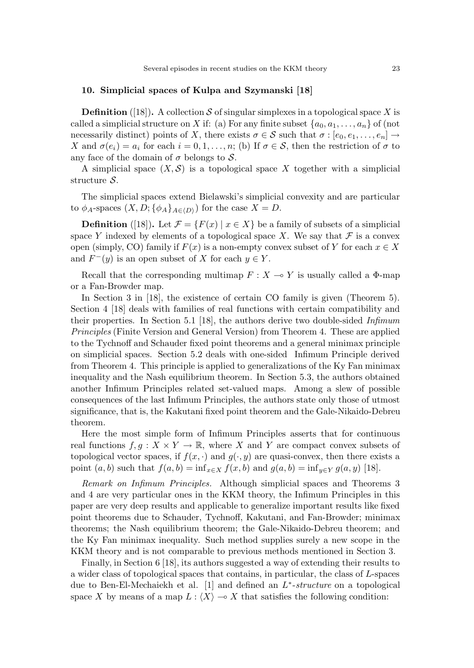## **10. Simplicial spaces of Kulpa and Szymanski [18]**

**Definition** ([18]). A collection *S* of singular simplexes in a topological space *X* is called a simplicial structure on *X* if: (a) For any finite subset  $\{a_0, a_1, \ldots, a_n\}$  of (not necessarily distinct) points of *X*, there exists  $\sigma \in S$  such that  $\sigma : [e_0, e_1, \ldots, e_n] \rightarrow$ *X* and  $\sigma(e_i) = a_i$  for each  $i = 0, 1, \ldots, n$ ; (b) If  $\sigma \in S$ , then the restriction of  $\sigma$  to any face of the domain of *σ* belongs to *S*.

A simplicial space  $(X, \mathcal{S})$  is a topological space X together with a simplicial structure *S*.

The simplicial spaces extend Bielawski's simplicial convexity and are particular to  $\phi_A$ -spaces  $(X, D; {\phi_A}_{A \in \langle D \rangle})$  for the case  $X = D$ .

**Definition** ([18]). Let  $\mathcal{F} = \{F(x) | x \in X\}$  be a family of subsets of a simplicial space *Y* indexed by elements of a topological space *X*. We say that  $\mathcal F$  is a convex open (simply, CO) family if  $F(x)$  is a non-empty convex subset of *Y* for each  $x \in X$ and  $F^-(y)$  is an open subset of *X* for each  $y \in Y$ .

Recall that the corresponding multimap  $F: X \to Y$  is usually called a  $\Phi$ -map or a Fan-Browder map.

In Section 3 in [18], the existence of certain CO family is given (Theorem 5). Section 4 [18] deals with families of real functions with certain compatibility and their properties. In Section 5.1 [18], the authors derive two double-sided Infimum Principles (Finite Version and General Version) from Theorem 4. These are applied to the Tychnoff and Schauder fixed point theorems and a general minimax principle on simplicial spaces. Section 5.2 deals with one-sided Infimum Principle derived from Theorem 4. This principle is applied to generalizations of the Ky Fan minimax inequality and the Nash equilibrium theorem. In Section 5.3, the authors obtained another Infimum Principles related set-valued maps. Among a slew of possible consequences of the last Infimum Principles, the authors state only those of utmost significance, that is, the Kakutani fixed point theorem and the Gale-Nikaido-Debreu theorem.

Here the most simple form of Infimum Principles asserts that for continuous real functions  $f, g: X \times Y \to \mathbb{R}$ , where *X* and *Y* are compact convex subsets of topological vector spaces, if  $f(x, \cdot)$  and  $g(\cdot, y)$  are quasi-convex, then there exists a point  $(a, b)$  such that  $f(a, b) = \inf_{x \in X} f(x, b)$  and  $g(a, b) = \inf_{y \in Y} g(a, y)$  [18].

Remark on Infimum Principles. Although simplicial spaces and Theorems 3 and 4 are very particular ones in the KKM theory, the Infimum Principles in this paper are very deep results and applicable to generalize important results like fixed point theorems due to Schauder, Tychnoff, Kakutani, and Fan-Browder; minimax theorems; the Nash equilibrium theorem; the Gale-Nikaido-Debreu theorem; and the Ky Fan minimax inequality. Such method supplies surely a new scope in the KKM theory and is not comparable to previous methods mentioned in Section 3.

Finally, in Section 6 [18], its authors suggested a way of extending their results to a wider class of topological spaces that contains, in particular, the class of *L*-spaces due to Ben-El-Mechaiekh et al. [1] and defined an *L*∗-structure on a topological space *X* by means of a map  $L : \langle X \rangle \to X$  that satisfies the following condition: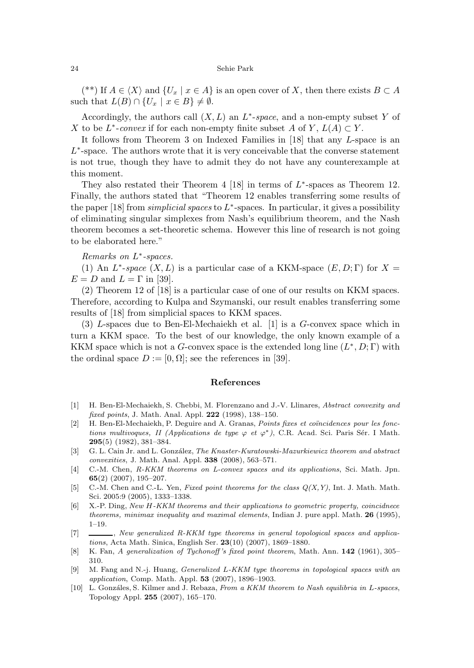$(**)$  If  $A \in \langle X \rangle$  and  $\{U_x \mid x \in A\}$  is an open cover of X, then there exists  $B \subset A$ such that  $L(B) \cap \{U_x \mid x \in B\} \neq \emptyset$ .

Accordingly, the authors call  $(X, L)$  an  $L^*$ -space, and a non-empty subset Y of *X* to be *L*<sup>\*</sup>-convex if for each non-empty finite subset *A* of *Y*,  $L(A) \subset Y$ .

It follows from Theorem 3 on Indexed Families in [18] that any *L*-space is an *L*∗-space. The authors wrote that it is very conceivable that the converse statement is not true, though they have to admit they do not have any counterexample at this moment.

They also restated their Theorem 4 [18] in terms of *L*∗-spaces as Theorem 12. Finally, the authors stated that "Theorem 12 enables transferring some results of the paper [18] from simplicial spaces to *L*<sup>∗</sup>-spaces. In particular, it gives a possibility of eliminating singular simplexes from Nash's equilibrium theorem, and the Nash theorem becomes a set-theoretic schema. However this line of research is not going to be elaborated here."

# Remarks on *L*<sup>∗</sup>-spaces.

(1) An  $L^*$ -space  $(X, L)$  is a particular case of a KKM-space  $(E, D; \Gamma)$  for  $X =$  $E = D$  and  $L = \Gamma$  in [39].

(2) Theorem 12 of [18] is a particular case of one of our results on KKM spaces. Therefore, according to Kulpa and Szymanski, our result enables transferring some results of [18] from simplicial spaces to KKM spaces.

(3) *L*-spaces due to Ben-El-Mechaiekh et al. [1] is a *G*-convex space which in turn a KKM space. To the best of our knowledge, the only known example of a KKM space which is not a *G*-convex space is the extended long line (*L*<sup>∗</sup>*, D*; Γ) with the ordinal space  $D := [0, \Omega]$ ; see the references in [39].

## **References**

- [1] H. Ben-El-Mechaiekh, S. Chebbi, M. Florenzano and J.-V. Llinares, *Abstract convexity and fixed points*, J. Math. Anal. Appl. **222** (1998), 138–150.
- [2] H. Ben-El-Mechaiekh, P. Deguire and A. Granas, *Points fixes et coïncidences pour les fonctions multivoques, II (Applications de type*  $\varphi$  *et*  $\varphi^*$ ), C.R. Acad. Sci. Paris Sér. I Math. **295**(5) (1982), 381–384.
- [3] G. L. Cain Jr. and L. Gonz´alez, *The Knaster-Kuratowski-Mazurkiewicz theorem and abstract convexities*, J. Math. Anal. Appl. **338** (2008), 563–571.
- [4] C.-M. Chen, *R-KKM theorems on L-convex spaces and its applications*, Sci. Math. Jpn. **65**(2) (2007), 195–207.
- [5] C.-M. Chen and C.-L. Yen, *Fixed point theorems for the class Q(X,Y)*, Int. J. Math. Math. Sci. 2005:9 (2005), 1333–1338.
- [6] X.-P. Ding, *New* H*-KKM theorems and their applications to geometric property, coincidnece theorems, minimax inequality and maximal elements*, Indian J. pure appl. Math. **26** (1995),  $1 - 19$
- [7] , *New generalized R-KKM type theorems in general topological spaces and applications*, Acta Math. Sinica, English Ser. **23**(10) (2007), 1869–1880.
- [8] K. Fan, *A generalization of Tychonoff 's fixed point theorem*, Math. Ann. **142** (1961), 305– 310.
- [9] M. Fang and N.-j. Huang, *Generalized* L*-KKM type theorems in topological spaces with an application*, Comp. Math. Appl. **53** (2007), 1896–1903.
- [10] L. Gonz´ales, S. Kilmer and J. Rebaza, *From a KKM theorem to Nash equilibria in* L*-spaces*, Topology Appl. **255** (2007), 165–170.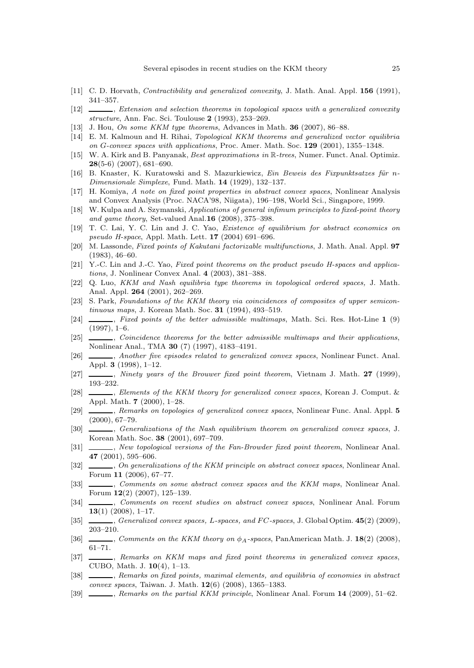- [11] C. D. Horvath, *Contractibility and generalized convexity*, J. Math. Anal. Appl. **156** (1991), 341–357.
- [12] , *Extension and selection theorems in topological spaces with a generalized convexity structure*, Ann. Fac. Sci. Toulouse **2** (1993), 253–269.
- [13] J. Hou, *On some KKM type theorems*, Advances in Math. **36** (2007), 86–88.
- [14] E. M. Kalmoun and H. Rihai, *Topological KKM theorems and generalized vector equilibria on* G*-convex spaces with applications*, Proc. Amer. Math. Soc. **129** (2001), 1355–1348.
- [15] W. A. Kirk and B. Panyanak, *Best approximations in* R*-trees*, Numer. Funct. Anal. Optimiz. **28**(5-6) (2007), 681–690.
- [16] B. Knaster, K. Kuratowski and S. Mazurkiewicz, *Ein Beweis des Fixpunktsatzes für n-Dimensionale Simplexe*, Fund. Math. **14** (1929), 132–137.
- [17] H. Komiya, *A note on fixed point properties in abstract convex spaces*, Nonlinear Analysis and Convex Analysis (Proc. NACA'98, Niigata), 196–198, World Sci., Singapore, 1999.
- [18] W. Kulpa and A. Szymanski, *Applications of general infimum principles to fixed-point theory and game theory*, Set-valued Anal.**16** (2008), 375–398.
- [19] T. C. Lai, Y. C. Lin and J. C. Yao, *Existence of equilibrium for abstract economics on pseudo H-space*, Appl. Math. Lett. **17** (2004) 691–696.
- [20] M. Lassonde, *Fixed points of Kakutani factorizable multifunctions*, J. Math. Anal. Appl. **97** (1983), 46–60.
- [21] Y.-C. Lin and J.-C. Yao, *Fixed point theorems on the product pseudo H-spaces and applications*, J. Nonlinear Convex Anal. **4** (2003), 381–388.
- [22] Q. Luo, *KKM and Nash equilibria type theorems in topological ordered spaces,* J. Math. Anal. Appl. **264** (2001), 262–269.
- [23] S. Park, *Foundations of the KKM theory via coincidences of composites of upper semicontinuous maps*, J. Korean Math. Soc. **31** (1994), 493–519.
- [24] , *Fixed points of the better admissible multimaps*, Math. Sci. Res. Hot-Line **1** (9)  $(1997), 1–6.$
- [25] , *Coincidence theorems for the better admissible multimaps and their applications*, Nonlinear Anal., TMA **30** (7) (1997), 4183–4191.
- [26] , *Another five episodes related to generalized convex spaces*, Nonlinear Funct. Anal. Appl. **3** (1998), 1–12.
- [27] , *Ninety years of the Brouwer fixed point theorem*, Vietnam J. Math. **27** (1999), 193–232.
- [28] , *Elements of the KKM theory for generalized convex spaces*, Korean J. Comput. & Appl. Math. **7** (2000), 1–28.
- [29] , *Remarks on topologies of generalized convex spaces*, Nonlinear Func. Anal. Appl. **5** (2000), 67–79.
- [30] , *Generalizations of the Nash equilibrium theorem on generalized convex spaces*, J. Korean Math. Soc. **38** (2001), 697–709.
- [31] , *New topological versions of the Fan-Browder fixed point theorem*, Nonlinear Anal. **47** (2001), 595–606.
- [32] , *On generalizations of the KKM principle on abstract convex spaces*, Nonlinear Anal. Forum **11** (2006), 67–77.
- [33] , *Comments on some abstract convex spaces and the KKM maps*, Nonlinear Anal. Forum **12**(2) (2007), 125–139.
- [34] , *Comments on recent studies on abstract convex spaces*, Nonlinear Anal. Forum **13**(1) (2008), 1–17.
- [35] Generalized convex spaces, L-spaces, and FC-spaces, J. Global Optim. **45**(2) (2009), 203–210.
- [36] , *Comments on the KKM theory on* φ*A-spaces*, PanAmerican Math. J. **18**(2) (2008), 61–71.
- [37] , *Remarks on KKM maps and fixed point theorems in generalized convex spaces*, CUBO, Math. J. **10**(4), 1–13.
- [38] , *Remarks on fixed points, maximal elements, and equilibria of economies in abstract convex spaces*, Taiwan. J. Math. **12**(6) (2008), 1365–1383.
- [39] , *Remarks on the partial KKM principle*, Nonlinear Anal. Forum **14** (2009), 51–62.